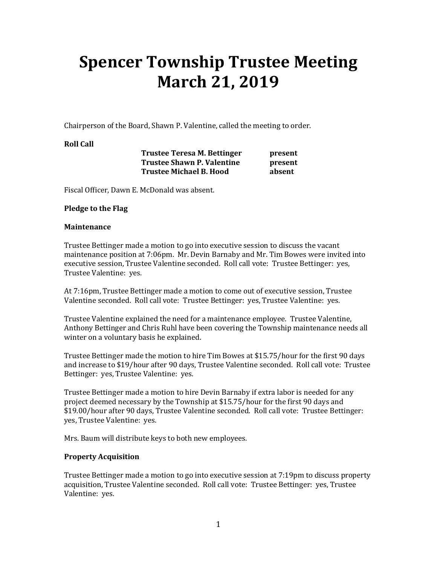# **Spencer Township Trustee Meeting March 21, 2019**

Chairperson of the Board, Shawn P. Valentine, called the meeting to order.

### **Roll Call**

**Trustee Teresa M. Bettinger by present Trustee Shawn P. Valentine bresent Trustee Michael B. Hood absent** 

Fiscal Officer, Dawn E. McDonald was absent.

### **Pledge to the Flag**

#### **Maintenance**

Trustee Bettinger made a motion to go into executive session to discuss the vacant maintenance position at 7:06pm. Mr. Devin Barnaby and Mr. Tim Bowes were invited into executive session, Trustee Valentine seconded. Roll call vote: Trustee Bettinger: yes, Trustee Valentine: yes.

At 7:16pm, Trustee Bettinger made a motion to come out of executive session, Trustee Valentine seconded. Roll call vote: Trustee Bettinger: yes, Trustee Valentine: yes.

Trustee Valentine explained the need for a maintenance employee. Trustee Valentine, Anthony Bettinger and Chris Ruhl have been covering the Township maintenance needs all winter on a voluntary basis he explained.

Trustee Bettinger made the motion to hire Tim Bowes at \$15.75/hour for the first 90 days and increase to \$19/hour after 90 days, Trustee Valentine seconded. Roll call vote: Trustee Bettinger: yes, Trustee Valentine: yes.

Trustee Bettinger made a motion to hire Devin Barnaby if extra labor is needed for any project deemed necessary by the Township at \$15.75/hour for the first 90 days and \$19.00/hour after 90 days, Trustee Valentine seconded. Roll call vote: Trustee Bettinger: yes, Trustee Valentine: yes.

Mrs. Baum will distribute keys to both new employees.

## **Property Acquisition**

Trustee Bettinger made a motion to go into executive session at 7:19pm to discuss property acquisition, Trustee Valentine seconded. Roll call vote: Trustee Bettinger: yes, Trustee Valentine: yes.